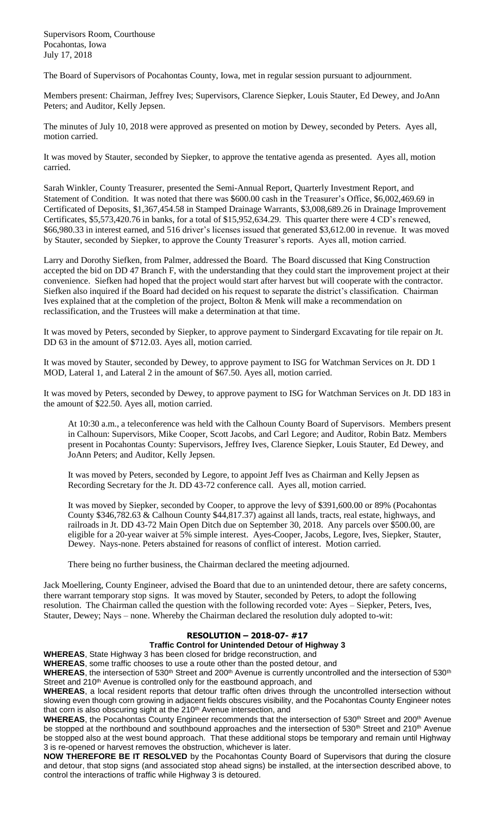Supervisors Room, Courthouse Pocahontas, Iowa July 17, 2018

The Board of Supervisors of Pocahontas County, Iowa, met in regular session pursuant to adjournment.

Members present: Chairman, Jeffrey Ives; Supervisors, Clarence Siepker, Louis Stauter, Ed Dewey, and JoAnn Peters; and Auditor, Kelly Jepsen.

The minutes of July 10, 2018 were approved as presented on motion by Dewey, seconded by Peters. Ayes all, motion carried.

It was moved by Stauter, seconded by Siepker, to approve the tentative agenda as presented. Ayes all, motion carried.

Sarah Winkler, County Treasurer, presented the Semi-Annual Report, Quarterly Investment Report, and Statement of Condition. It was noted that there was \$600.00 cash in the Treasurer's Office, \$6,002,469.69 in Certificated of Deposits, \$1,367,454.58 in Stamped Drainage Warrants, \$3,008,689.26 in Drainage Improvement Certificates, \$5,573,420.76 in banks, for a total of \$15,952,634.29. This quarter there were 4 CD's renewed, \$66,980.33 in interest earned, and 516 driver's licenses issued that generated \$3,612.00 in revenue. It was moved by Stauter, seconded by Siepker, to approve the County Treasurer's reports. Ayes all, motion carried.

Larry and Dorothy Siefken, from Palmer, addressed the Board. The Board discussed that King Construction accepted the bid on DD 47 Branch F, with the understanding that they could start the improvement project at their convenience. Siefken had hoped that the project would start after harvest but will cooperate with the contractor. Siefken also inquired if the Board had decided on his request to separate the district's classification. Chairman Ives explained that at the completion of the project, Bolton & Menk will make a recommendation on reclassification, and the Trustees will make a determination at that time.

It was moved by Peters, seconded by Siepker, to approve payment to Sindergard Excavating for tile repair on Jt. DD 63 in the amount of \$712.03. Ayes all, motion carried.

It was moved by Stauter, seconded by Dewey, to approve payment to ISG for Watchman Services on Jt. DD 1 MOD, Lateral 1, and Lateral 2 in the amount of \$67.50. Ayes all, motion carried.

It was moved by Peters, seconded by Dewey, to approve payment to ISG for Watchman Services on Jt. DD 183 in the amount of \$22.50. Ayes all, motion carried.

At 10:30 a.m., a teleconference was held with the Calhoun County Board of Supervisors. Members present in Calhoun: Supervisors, Mike Cooper, Scott Jacobs, and Carl Legore; and Auditor, Robin Batz. Members present in Pocahontas County: Supervisors, Jeffrey Ives, Clarence Siepker, Louis Stauter, Ed Dewey, and JoAnn Peters; and Auditor, Kelly Jepsen.

It was moved by Peters, seconded by Legore, to appoint Jeff Ives as Chairman and Kelly Jepsen as Recording Secretary for the Jt. DD 43-72 conference call. Ayes all, motion carried.

It was moved by Siepker, seconded by Cooper, to approve the levy of \$391,600.00 or 89% (Pocahontas County \$346,782.63 & Calhoun County \$44,817.37) against all lands, tracts, real estate, highways, and railroads in Jt. DD 43-72 Main Open Ditch due on September 30, 2018. Any parcels over \$500.00, are eligible for a 20-year waiver at 5% simple interest. Ayes-Cooper, Jacobs, Legore, Ives, Siepker, Stauter, Dewey. Nays-none. Peters abstained for reasons of conflict of interest. Motion carried.

There being no further business, the Chairman declared the meeting adjourned.

Jack Moellering, County Engineer, advised the Board that due to an unintended detour, there are safety concerns, there warrant temporary stop signs. It was moved by Stauter, seconded by Peters, to adopt the following resolution. The Chairman called the question with the following recorded vote: Ayes – Siepker, Peters, Ives, Stauter, Dewey; Nays – none. Whereby the Chairman declared the resolution duly adopted to-wit:

## **RESOLUTION – 2018-07- #17**

## **Traffic Control for Unintended Detour of Highway 3**

**WHEREAS**, State Highway 3 has been closed for bridge reconstruction, and **WHEREAS**, some traffic chooses to use a route other than the posted detour, and

WHEREAS, the intersection of 530<sup>th</sup> Street and 200<sup>th</sup> Avenue is currently uncontrolled and the intersection of 530<sup>th</sup>

Street and 210<sup>th</sup> Avenue is controlled only for the eastbound approach, and

**WHEREAS**, a local resident reports that detour traffic often drives through the uncontrolled intersection without slowing even though corn growing in adjacent fields obscures visibility, and the Pocahontas County Engineer notes that corn is also obscuring sight at the 210<sup>th</sup> Avenue intersection, and

WHEREAS, the Pocahontas County Engineer recommends that the intersection of 530<sup>th</sup> Street and 200<sup>th</sup> Avenue be stopped at the northbound and southbound approaches and the intersection of 530<sup>th</sup> Street and 210<sup>th</sup> Avenue be stopped also at the west bound approach. That these additional stops be temporary and remain until Highway 3 is re-opened or harvest removes the obstruction, whichever is later.

**NOW THEREFORE BE IT RESOLVED** by the Pocahontas County Board of Supervisors that during the closure and detour, that stop signs (and associated stop ahead signs) be installed, at the intersection described above, to control the interactions of traffic while Highway 3 is detoured.